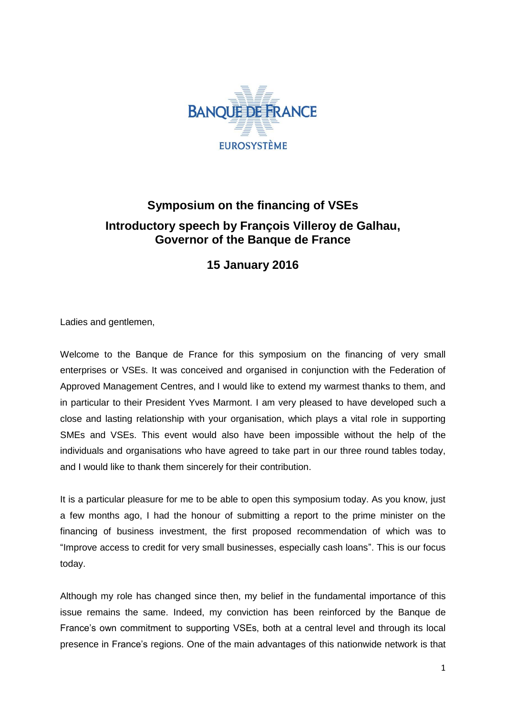

## **Symposium on the financing of VSEs Introductory speech by François Villeroy de Galhau, Governor of the Banque de France**

**15 January 2016**

Ladies and gentlemen,

Welcome to the Banque de France for this symposium on the financing of very small enterprises or VSEs. It was conceived and organised in conjunction with the Federation of Approved Management Centres, and I would like to extend my warmest thanks to them, and in particular to their President Yves Marmont. I am very pleased to have developed such a close and lasting relationship with your organisation, which plays a vital role in supporting SMEs and VSEs. This event would also have been impossible without the help of the individuals and organisations who have agreed to take part in our three round tables today, and I would like to thank them sincerely for their contribution.

It is a particular pleasure for me to be able to open this symposium today. As you know, just a few months ago, I had the honour of submitting a report to the prime minister on the financing of business investment, the first proposed recommendation of which was to "Improve access to credit for very small businesses, especially cash loans". This is our focus today.

Although my role has changed since then, my belief in the fundamental importance of this issue remains the same. Indeed, my conviction has been reinforced by the Banque de France's own commitment to supporting VSEs, both at a central level and through its local presence in France's regions. One of the main advantages of this nationwide network is that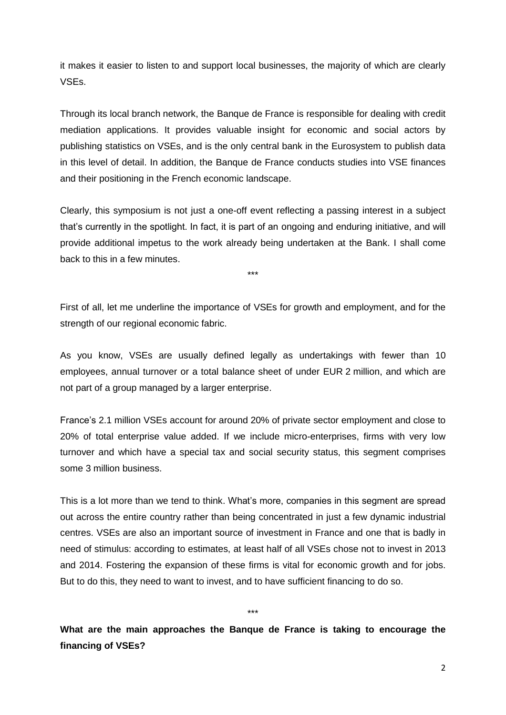it makes it easier to listen to and support local businesses, the majority of which are clearly VSEs.

Through its local branch network, the Banque de France is responsible for dealing with credit mediation applications. It provides valuable insight for economic and social actors by publishing statistics on VSEs, and is the only central bank in the Eurosystem to publish data in this level of detail. In addition, the Banque de France conducts studies into VSE finances and their positioning in the French economic landscape.

Clearly, this symposium is not just a one-off event reflecting a passing interest in a subject that's currently in the spotlight. In fact, it is part of an ongoing and enduring initiative, and will provide additional impetus to the work already being undertaken at the Bank. I shall come back to this in a few minutes.

\*\*\*

First of all, let me underline the importance of VSEs for growth and employment, and for the strength of our regional economic fabric.

As you know, VSEs are usually defined legally as undertakings with fewer than 10 employees, annual turnover or a total balance sheet of under EUR 2 million, and which are not part of a group managed by a larger enterprise.

France's 2.1 million VSEs account for around 20% of private sector employment and close to 20% of total enterprise value added. If we include micro-enterprises, firms with very low turnover and which have a special tax and social security status, this segment comprises some 3 million business.

This is a lot more than we tend to think. What's more, companies in this segment are spread out across the entire country rather than being concentrated in just a few dynamic industrial centres. VSEs are also an important source of investment in France and one that is badly in need of stimulus: according to estimates, at least half of all VSEs chose not to invest in 2013 and 2014. Fostering the expansion of these firms is vital for economic growth and for jobs. But to do this, they need to want to invest, and to have sufficient financing to do so.

\*\*\*

**What are the main approaches the Banque de France is taking to encourage the financing of VSEs?**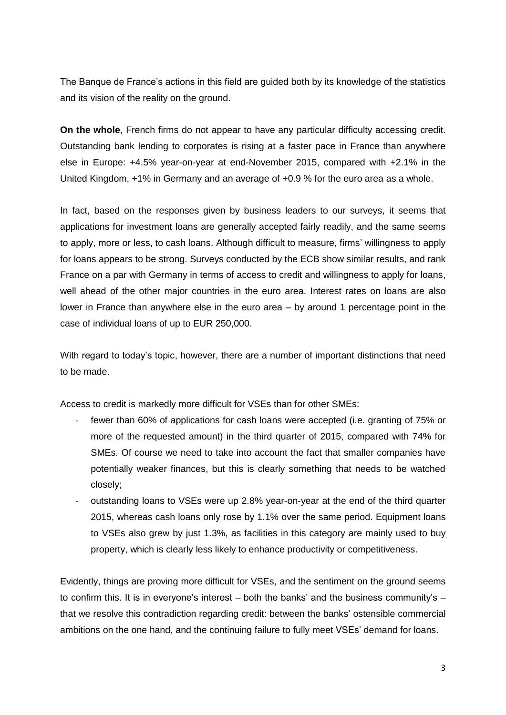The Banque de France's actions in this field are guided both by its knowledge of the statistics and its vision of the reality on the ground.

**On the whole**, French firms do not appear to have any particular difficulty accessing credit. Outstanding bank lending to corporates is rising at a faster pace in France than anywhere else in Europe: +4.5% year-on-year at end-November 2015, compared with +2.1% in the United Kingdom, +1% in Germany and an average of +0.9 % for the euro area as a whole.

In fact, based on the responses given by business leaders to our surveys, it seems that applications for investment loans are generally accepted fairly readily, and the same seems to apply, more or less, to cash loans. Although difficult to measure, firms' willingness to apply for loans appears to be strong. Surveys conducted by the ECB show similar results, and rank France on a par with Germany in terms of access to credit and willingness to apply for loans, well ahead of the other major countries in the euro area. Interest rates on loans are also lower in France than anywhere else in the euro area – by around 1 percentage point in the case of individual loans of up to EUR 250,000.

With regard to today's topic, however, there are a number of important distinctions that need to be made.

Access to credit is markedly more difficult for VSEs than for other SMEs:

- fewer than 60% of applications for cash loans were accepted (i.e. granting of 75% or more of the requested amount) in the third quarter of 2015, compared with 74% for SMEs. Of course we need to take into account the fact that smaller companies have potentially weaker finances, but this is clearly something that needs to be watched closely;
- outstanding loans to VSEs were up 2.8% year-on-year at the end of the third quarter 2015, whereas cash loans only rose by 1.1% over the same period. Equipment loans to VSEs also grew by just 1.3%, as facilities in this category are mainly used to buy property, which is clearly less likely to enhance productivity or competitiveness.

Evidently, things are proving more difficult for VSEs, and the sentiment on the ground seems to confirm this. It is in everyone's interest – both the banks' and the business community's – that we resolve this contradiction regarding credit: between the banks' ostensible commercial ambitions on the one hand, and the continuing failure to fully meet VSEs' demand for loans.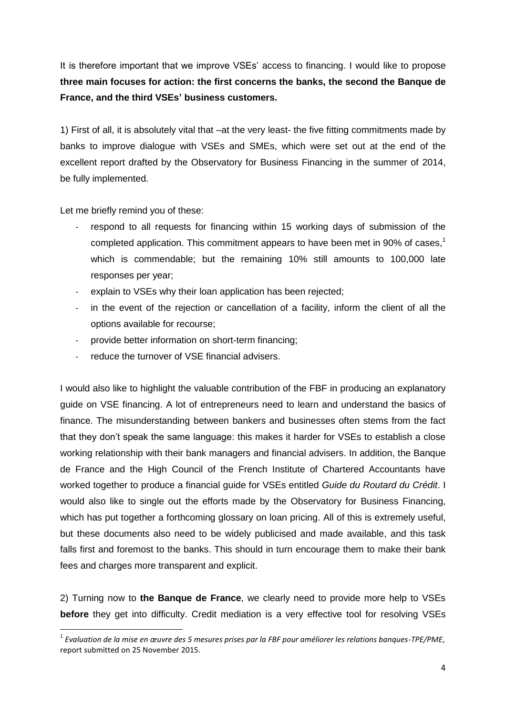It is therefore important that we improve VSEs' access to financing. I would like to propose **three main focuses for action: the first concerns the banks, the second the Banque de France, and the third VSEs' business customers.**

1) First of all, it is absolutely vital that –at the very least- the five fitting commitments made by banks to improve dialogue with VSEs and SMEs, which were set out at the end of the excellent report drafted by the Observatory for Business Financing in the summer of 2014, be fully implemented.

Let me briefly remind you of these:

1

- respond to all requests for financing within 15 working days of submission of the completed application. This commitment appears to have been met in 90% of cases, $1$ which is commendable; but the remaining 10% still amounts to 100,000 late responses per year;
- explain to VSEs why their loan application has been rejected;
- in the event of the rejection or cancellation of a facility, inform the client of all the options available for recourse;
- provide better information on short-term financing;
- reduce the turnover of VSE financial advisers.

I would also like to highlight the valuable contribution of the FBF in producing an explanatory guide on VSE financing. A lot of entrepreneurs need to learn and understand the basics of finance. The misunderstanding between bankers and businesses often stems from the fact that they don't speak the same language: this makes it harder for VSEs to establish a close working relationship with their bank managers and financial advisers. In addition, the Banque de France and the High Council of the French Institute of Chartered Accountants have worked together to produce a financial guide for VSEs entitled *Guide du Routard du Crédit*. I would also like to single out the efforts made by the Observatory for Business Financing, which has put together a forthcoming glossary on loan pricing. All of this is extremely useful, but these documents also need to be widely publicised and made available, and this task falls first and foremost to the banks. This should in turn encourage them to make their bank fees and charges more transparent and explicit.

2) Turning now to **the Banque de France**, we clearly need to provide more help to VSEs **before** they get into difficulty. Credit mediation is a very effective tool for resolving VSEs

<sup>1</sup> *Evaluation de la mise en œuvre des 5 mesures prises par la FBF pour améliorer les relations banques-TPE/PME*, report submitted on 25 November 2015.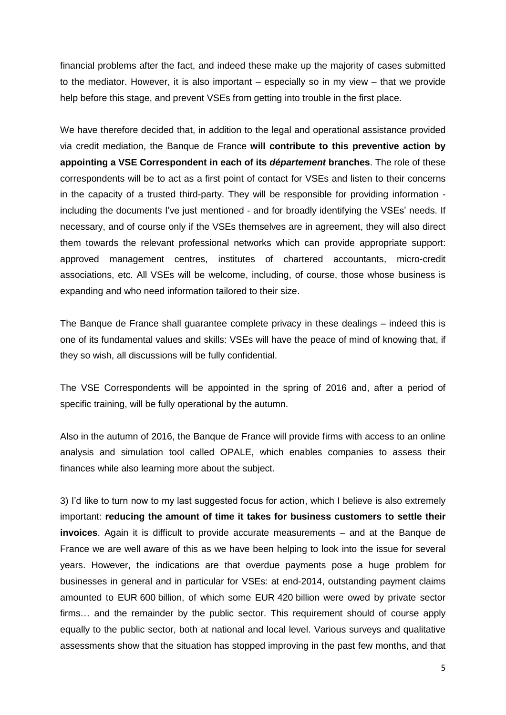financial problems after the fact, and indeed these make up the majority of cases submitted to the mediator. However, it is also important – especially so in my view – that we provide help before this stage, and prevent VSEs from getting into trouble in the first place.

We have therefore decided that, in addition to the legal and operational assistance provided via credit mediation, the Banque de France **will contribute to this preventive action by appointing a VSE Correspondent in each of its** *département* **branches**. The role of these correspondents will be to act as a first point of contact for VSEs and listen to their concerns in the capacity of a trusted third-party. They will be responsible for providing information including the documents I've just mentioned - and for broadly identifying the VSEs' needs. If necessary, and of course only if the VSEs themselves are in agreement, they will also direct them towards the relevant professional networks which can provide appropriate support: approved management centres, institutes of chartered accountants, micro-credit associations, etc. All VSEs will be welcome, including, of course, those whose business is expanding and who need information tailored to their size.

The Banque de France shall guarantee complete privacy in these dealings – indeed this is one of its fundamental values and skills: VSEs will have the peace of mind of knowing that, if they so wish, all discussions will be fully confidential.

The VSE Correspondents will be appointed in the spring of 2016 and, after a period of specific training, will be fully operational by the autumn.

Also in the autumn of 2016, the Banque de France will provide firms with access to an online analysis and simulation tool called OPALE, which enables companies to assess their finances while also learning more about the subject.

3) I'd like to turn now to my last suggested focus for action, which I believe is also extremely important: **reducing the amount of time it takes for business customers to settle their invoices**. Again it is difficult to provide accurate measurements – and at the Banque de France we are well aware of this as we have been helping to look into the issue for several years. However, the indications are that overdue payments pose a huge problem for businesses in general and in particular for VSEs: at end-2014, outstanding payment claims amounted to EUR 600 billion, of which some EUR 420 billion were owed by private sector firms… and the remainder by the public sector. This requirement should of course apply equally to the public sector, both at national and local level. Various surveys and qualitative assessments show that the situation has stopped improving in the past few months, and that